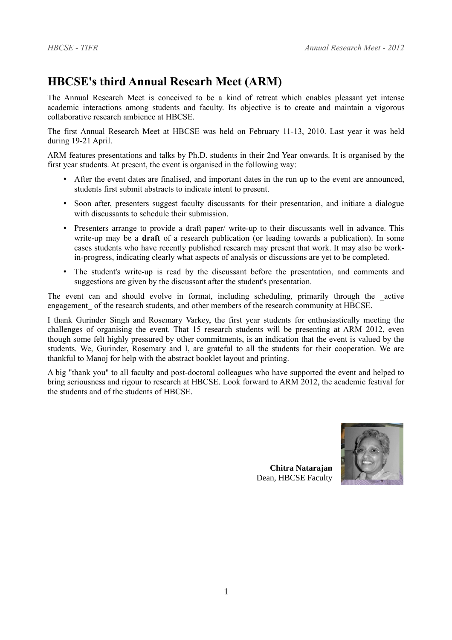# **HBCSE's third Annual Researh Meet (ARM)**

The Annual Research Meet is conceived to be a kind of retreat which enables pleasant yet intense academic interactions among students and faculty. Its objective is to create and maintain a vigorous collaborative research ambience at HBCSE.

The first Annual Research Meet at HBCSE was held on February 11-13, 2010. Last year it was held during 19-21 April.

ARM features presentations and talks by Ph.D. students in their 2nd Year onwards. It is organised by the first year students. At present, the event is organised in the following way:

- After the event dates are finalised, and important dates in the run up to the event are announced, students first submit abstracts to indicate intent to present.
- Soon after, presenters suggest faculty discussants for their presentation, and initiate a dialogue with discussants to schedule their submission.
- Presenters arrange to provide a draft paper/ write-up to their discussants well in advance. This write-up may be a **draft** of a research publication (or leading towards a publication). In some cases students who have recently published research may present that work. It may also be workin-progress, indicating clearly what aspects of analysis or discussions are yet to be completed.
- The student's write-up is read by the discussant before the presentation, and comments and suggestions are given by the discussant after the student's presentation.

The event can and should evolve in format, including scheduling, primarily through the \_active engagement of the research students, and other members of the research community at HBCSE.

I thank Gurinder Singh and Rosemary Varkey, the first year students for enthusiastically meeting the challenges of organising the event. That 15 research students will be presenting at ARM 2012, even though some felt highly pressured by other commitments, is an indication that the event is valued by the students. We, Gurinder, Rosemary and I, are grateful to all the students for their cooperation. We are thankful to Manoj for help with the abstract booklet layout and printing.

A big "thank you" to all faculty and post-doctoral colleagues who have supported the event and helped to bring seriousness and rigour to research at HBCSE. Look forward to ARM 2012, the academic festival for the students and of the students of HBCSE.



**Chitra Natarajan** Dean, HBCSE Faculty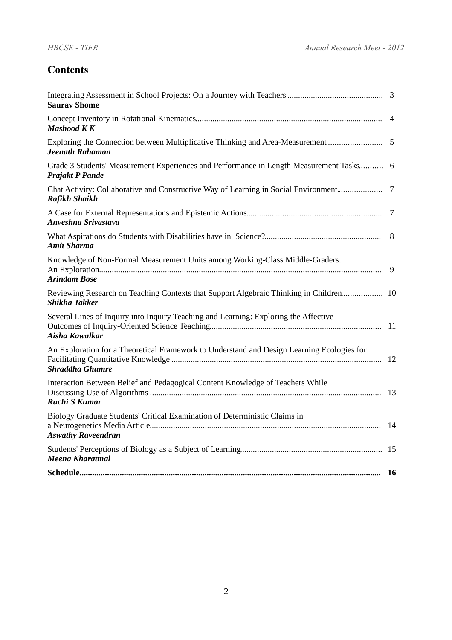### **Contents**

| <b>Saurav Shome</b>                                                                                                  |           |
|----------------------------------------------------------------------------------------------------------------------|-----------|
| <b>Mashood KK</b>                                                                                                    |           |
| Exploring the Connection between Multiplicative Thinking and Area-Measurement  5<br>Jeenath Rahaman                  |           |
| Grade 3 Students' Measurement Experiences and Performance in Length Measurement Tasks 6<br><b>Prajakt P Pande</b>    |           |
| Chat Activity: Collaborative and Constructive Way of Learning in Social Environment<br><b>Rafikh Shaikh</b>          | 7         |
| Anveshna Srivastava                                                                                                  | 7         |
| <b>Amit Sharma</b>                                                                                                   | 8         |
| Knowledge of Non-Formal Measurement Units among Working-Class Middle-Graders:<br><b>Arindam Bose</b>                 | 9         |
| Reviewing Research on Teaching Contexts that Support Algebraic Thinking in Children 10<br><b>Shikha Takker</b>       |           |
| Several Lines of Inquiry into Inquiry Teaching and Learning: Exploring the Affective<br>Aisha Kawalkar               |           |
| An Exploration for a Theoretical Framework to Understand and Design Learning Ecologies for<br><b>Shraddha Ghumre</b> |           |
| Interaction Between Belief and Pedagogical Content Knowledge of Teachers While<br><b>Ruchi S Kumar</b>               |           |
| Biology Graduate Students' Critical Examination of Deterministic Claims in<br><b>Aswathy Raveendran</b>              | -14       |
| <b>Meena Kharatmal</b>                                                                                               |           |
|                                                                                                                      | <b>16</b> |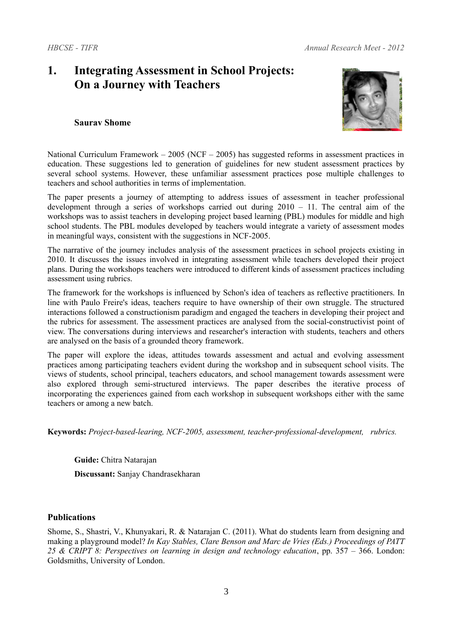## **1. Integrating Assessment in School Projects: On a Journey with Teachers**



#### **Saurav Shome**

National Curriculum Framework – 2005 (NCF – 2005) has suggested reforms in assessment practices in education. These suggestions led to generation of guidelines for new student assessment practices by several school systems. However, these unfamiliar assessment practices pose multiple challenges to teachers and school authorities in terms of implementation.

The paper presents a journey of attempting to address issues of assessment in teacher professional development through a series of workshops carried out during  $2010 - 11$ . The central aim of the workshops was to assist teachers in developing project based learning (PBL) modules for middle and high school students. The PBL modules developed by teachers would integrate a variety of assessment modes in meaningful ways, consistent with the suggestions in NCF-2005.

The narrative of the journey includes analysis of the assessment practices in school projects existing in 2010. It discusses the issues involved in integrating assessment while teachers developed their project plans. During the workshops teachers were introduced to different kinds of assessment practices including assessment using rubrics.

The framework for the workshops is influenced by Schon's idea of teachers as reflective practitioners. In line with Paulo Freire's ideas, teachers require to have ownership of their own struggle. The structured interactions followed a constructionism paradigm and engaged the teachers in developing their project and the rubrics for assessment. The assessment practices are analysed from the social-constructivist point of view. The conversations during interviews and researcher's interaction with students, teachers and others are analysed on the basis of a grounded theory framework.

The paper will explore the ideas, attitudes towards assessment and actual and evolving assessment practices among participating teachers evident during the workshop and in subsequent school visits. The views of students, school principal, teachers educators, and school management towards assessment were also explored through semi-structured interviews. The paper describes the iterative process of incorporating the experiences gained from each workshop in subsequent workshops either with the same teachers or among a new batch.

**Keywords:** *Project-based-learing, NCF-2005, assessment, teacher-professional-development, rubrics.*

**Guide:** Chitra Natarajan

**Discussant:** Sanjay Chandrasekharan

### **Publications**

Shome, S., Shastri, V., Khunyakari, R. & Natarajan C. (2011). What do students learn from designing and making a playground model? *In Kay Stables, Clare Benson and Marc de Vries (Eds.) Proceedings of PATT 25 & CRIPT 8: Perspectives on learning in design and technology education*, pp. 357 – 366. London: Goldsmiths, University of London.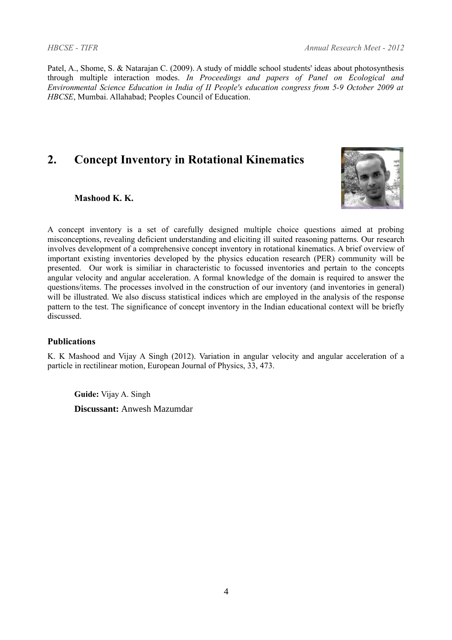Patel, A., Shome, S. & Natarajan C. (2009). A study of middle school students' ideas about photosynthesis through multiple interaction modes. *In Proceedings and papers of Panel on Ecological and Environmental Science Education in India of II People's education congress from 5-9 October 2009 at HBCSE*, Mumbai. Allahabad; Peoples Council of Education.

# **2. Concept Inventory in Rotational Kinematics**



### **Mashood K. K.**

A concept inventory is a set of carefully designed multiple choice questions aimed at probing misconceptions, revealing deficient understanding and eliciting ill suited reasoning patterns. Our research involves development of a comprehensive concept inventory in rotational kinematics. A brief overview of important existing inventories developed by the physics education research (PER) community will be presented. Our work is similiar in characteristic to focussed inventories and pertain to the concepts angular velocity and angular acceleration. A formal knowledge of the domain is required to answer the questions/items. The processes involved in the construction of our inventory (and inventories in general) will be illustrated. We also discuss statistical indices which are employed in the analysis of the response pattern to the test. The significance of concept inventory in the Indian educational context will be briefly discussed.

### **Publications**

K. K Mashood and Vijay A Singh (2012). Variation in angular velocity and angular acceleration of a particle in rectilinear motion, European Journal of Physics, 33, 473.

**Guide:** Vijay A. Singh **Discussant:** Anwesh Mazumdar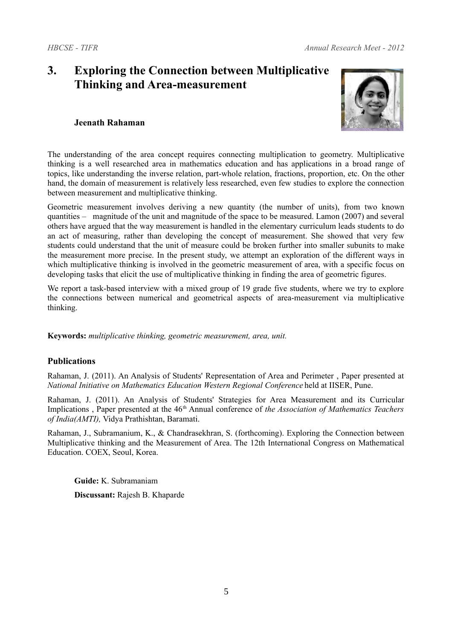# **3. Exploring the Connection between Multiplicative Thinking and Area-measurement**



### **Jeenath Rahaman**

The understanding of the area concept requires connecting multiplication to geometry. Multiplicative thinking is a well researched area in mathematics education and has applications in a broad range of topics, like understanding the inverse relation, part-whole relation, fractions, proportion, etc. On the other hand, the domain of measurement is relatively less researched, even few studies to explore the connection between measurement and multiplicative thinking.

Geometric measurement involves deriving a new quantity (the number of units), from two known quantities – magnitude of the unit and magnitude of the space to be measured. Lamon (2007) and several others have argued that the way measurement is handled in the elementary curriculum leads students to do an act of measuring, rather than developing the concept of measurement. She showed that very few students could understand that the unit of measure could be broken further into smaller subunits to make the measurement more precise. In the present study, we attempt an exploration of the different ways in which multiplicative thinking is involved in the geometric measurement of area, with a specific focus on developing tasks that elicit the use of multiplicative thinking in finding the area of geometric figures.

We report a task-based interview with a mixed group of 19 grade five students, where we try to explore the connections between numerical and geometrical aspects of area-measurement via multiplicative thinking.

**Keywords:** *multiplicative thinking, geometric measurement, area, unit.*

### **Publications**

Rahaman, J. (2011). An Analysis of Students' Representation of Area and Perimeter , Paper presented at *National Initiative on Mathematics Education Western Regional Conference* held at IISER, Pune.

Rahaman, J. (2011). An Analysis of Students' Strategies for Area Measurement and its Curricular Implications , Paper presented at the 46<sup>th</sup> Annual conference of *the Association of Mathematics Teachers of India(AMTI),* Vidya Prathishtan, Baramati.

Rahaman, J., Subramanium, K., & Chandrasekhran, S. (forthcoming). Exploring the Connection between Multiplicative thinking and the Measurement of Area. The 12th International Congress on Mathematical Education. COEX, Seoul, Korea.

**Guide:** K. Subramaniam **Discussant:** Rajesh B. Khaparde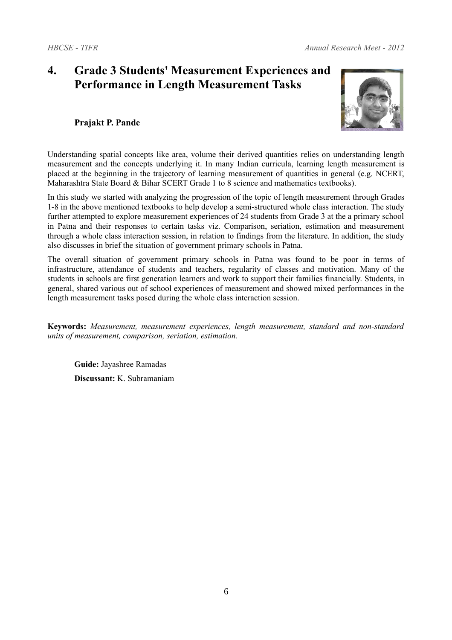# **4. Grade 3 Students' Measurement Experiences and Performance in Length Measurement Tasks**



### **Prajakt P. Pande**

Understanding spatial concepts like area, volume their derived quantities relies on understanding length measurement and the concepts underlying it. In many Indian curricula, learning length measurement is placed at the beginning in the trajectory of learning measurement of quantities in general (e.g. NCERT, Maharashtra State Board & Bihar SCERT Grade 1 to 8 science and mathematics textbooks).

In this study we started with analyzing the progression of the topic of length measurement through Grades 1-8 in the above mentioned textbooks to help develop a semi-structured whole class interaction. The study further attempted to explore measurement experiences of 24 students from Grade 3 at the a primary school in Patna and their responses to certain tasks viz. Comparison, seriation, estimation and measurement through a whole class interaction session, in relation to findings from the literature. In addition, the study also discusses in brief the situation of government primary schools in Patna.

The overall situation of government primary schools in Patna was found to be poor in terms of infrastructure, attendance of students and teachers, regularity of classes and motivation. Many of the students in schools are first generation learners and work to support their families financially. Students, in general, shared various out of school experiences of measurement and showed mixed performances in the length measurement tasks posed during the whole class interaction session.

**Keywords:** *Measurement, measurement experiences, length measurement, standard and non-standard units of measurement, comparison, seriation, estimation.*

**Guide:** Jayashree Ramadas **Discussant:** K. Subramaniam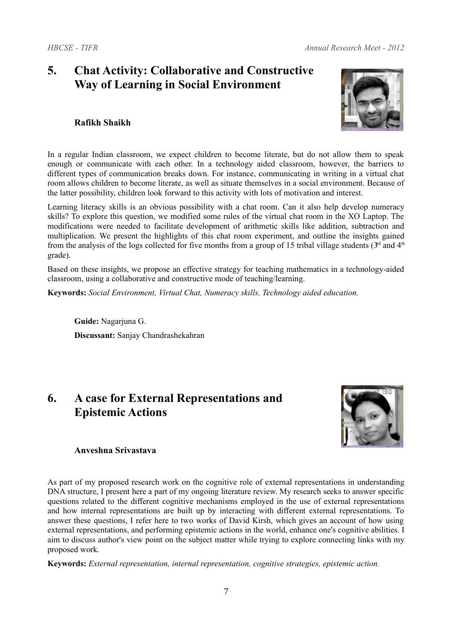### **5. Chat Activity: Collaborative and Constructive Way of Learning in Social Environment**

### **Rafikh Shaikh**



In a regular Indian classroom, we expect children to become literate, but do not allow them to speak enough or communicate with each other. In a technology aided classroom, however, the barriers to different types of communication breaks down. For instance, communicating in writing in a virtual chat room allows children to become literate, as well as situate themselves in a social environment. Because of the latter possibility, children look forward to this activity with lots of motivation and interest.

Learning literacy skills is an obvious possibility with a chat room. Can it also help develop numeracy skills? To explore this question, we modified some rules of the virtual chat room in the XO Laptop. The modifications were needed to facilitate development of arithmetic skills like addition, subtraction and multiplication. We present the highlights of this chat room experiment, and outline the insights gained from the analysis of the logs collected for five months from a group of 15 tribal village students ( $3<sup>rd</sup>$  and  $4<sup>th</sup>$ ) grade).

Based on these insights, we propose an effective strategy for teaching mathematics in a technology-aided classroom, using a collaborative and constructive mode of teaching/learning.

**Keywords:** *Social Environment, Virtual Chat, Numeracy skills, Technology aided education.*

**Guide:** Nagarjuna G. **Discussant:** Sanjay Chandrashekahran

## **6. A case for External Representations and Epistemic Actions**



### **Anveshna Srivastava**

As part of my proposed research work on the cognitive role of external representations in understanding DNA structure, I present here a part of my ongoing literature review. My research seeks to answer specific questions related to the different cognitive mechanisms employed in the use of external representations and how internal representations are built up by interacting with different external representations. To answer these questions, I refer here to two works of David Kirsh, which gives an account of how using external representations, and performing epistemic actions in the world, enhance one's cognitive abilities. I aim to discuss author's view point on the subject matter while trying to explore connecting links with my proposed work.

**Keywords:** *External representation, internal representation, cognitive strategies, epistemic action.*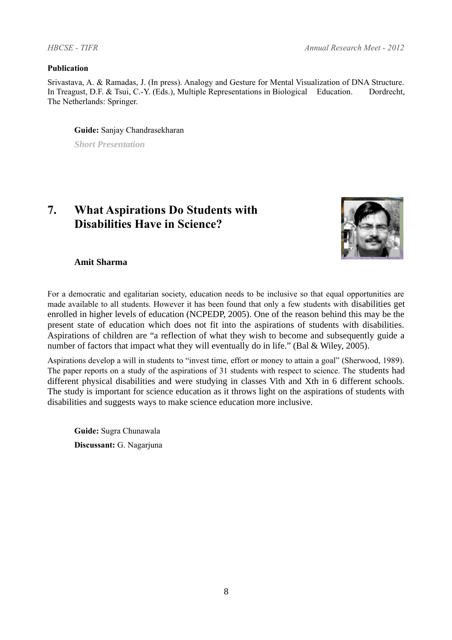#### **Publication**

Srivastava, A. & Ramadas, J. (In press). Analogy and Gesture for Mental Visualization of DNA Structure. In Treagust, D.F. & Tsui, C.-Y. (Eds.), Multiple Representations in Biological Education. Dordrecht, The Netherlands: Springer.

**Guide:** Sanjay Chandrasekharan

*Short Presentation*

# **7. What Aspirations Do Students with Disabilities Have in Science?**



**Amit Sharma**

For a democratic and egalitarian society, education needs to be inclusive so that equal opportunities are made available to all students. However it has been found that only a few students with disabilities get enrolled in higher levels of education (NCPEDP, 2005). One of the reason behind this may be the present state of education which does not fit into the aspirations of students with disabilities. Aspirations of children are "a reflection of what they wish to become and subsequently guide a number of factors that impact what they will eventually do in life." (Bal & Wiley, 2005).

Aspirations develop a will in students to "invest time, effort or money to attain a goal" (Sherwood, 1989). The paper reports on a study of the aspirations of 31 students with respect to science. The students had different physical disabilities and were studying in classes Vith and Xth in 6 different schools. The study is important for science education as it throws light on the aspirations of students with disabilities and suggests ways to make science education more inclusive.

**Guide:** Sugra Chunawala **Discussant:** G. Nagarjuna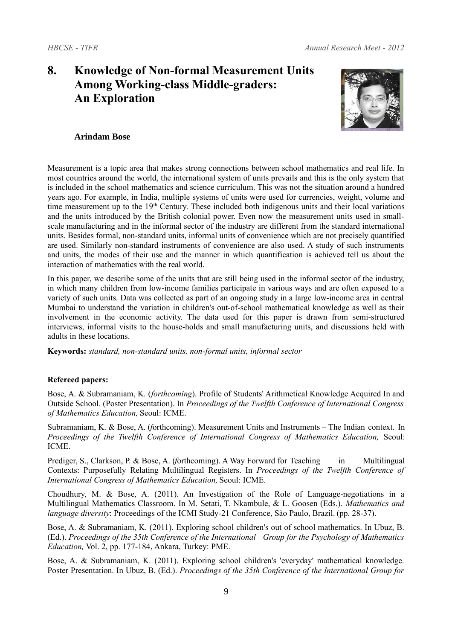# **8. Knowledge of Non-formal Measurement Units Among Working-class Middle-graders: An Exploration**



### **Arindam Bose**

Measurement is a topic area that makes strong connections between school mathematics and real life. In most countries around the world, the international system of units prevails and this is the only system that is included in the school mathematics and science curriculum. This was not the situation around a hundred years ago. For example, in India, multiple systems of units were used for currencies, weight, volume and time measurement up to the  $19<sup>th</sup>$  Century. These included both indigenous units and their local variations and the units introduced by the British colonial power. Even now the measurement units used in smallscale manufacturing and in the informal sector of the industry are different from the standard international units. Besides formal, non-standard units, informal units of convenience which are not precisely quantified are used. Similarly non-standard instruments of convenience are also used. A study of such instruments and units, the modes of their use and the manner in which quantification is achieved tell us about the interaction of mathematics with the real world.

In this paper, we describe some of the units that are still being used in the informal sector of the industry, in which many children from low-income families participate in various ways and are often exposed to a variety of such units. Data was collected as part of an ongoing study in a large low-income area in central Mumbai to understand the variation in children's out-of-school mathematical knowledge as well as their involvement in the economic activity. The data used for this paper is drawn from semi-structured interviews, informal visits to the house-holds and small manufacturing units, and discussions held with adults in these locations.

**Keywords:** *standard, non-standard units, non-formal units, informal sector*

### **Refereed papers:**

Bose, A. & Subramaniam, K. (*forthcoming*). Profile of Students' Arithmetical Knowledge Acquired In and Outside School. (Poster Presentation). In *Proceedings of the Twelfth Conference of International Congress of Mathematics Education,* Seoul: ICME.

Subramaniam, K. & Bose, A. (*f*orthcoming). Measurement Units and Instruments – The Indian context. In *Proceedings of the Twelfth Conference of International Congress of Mathematics Education,* Seoul: ICME.

Prediger, S., Clarkson, P. & Bose, A. (*forthcoming*). A Way Forward for Teaching in Multilingual Contexts: Purposefully Relating Multilingual Registers. In *Proceedings of the Twelfth Conference of International Congress of Mathematics Education,* Seoul: ICME.

Choudhury, M. & Bose, A. (2011). An Investigation of the Role of Language-negotiations in a Multilingual Mathematics Classroom. In M. Setati, T. Nkambule, & L. Goosen (Eds.). *Mathematics and language diversity:* Proceedings of the ICMI Study-21 Conference, Sào Paulo, Brazil. (pp. 28-37).

Bose, A. & Subramaniam, K. (2011). Exploring school children's out of school mathematics. In Ubuz, B. (Ed.). *Proceedings of the 35th Conference of the International Group for the Psychology of Mathematics Education,* Vol. 2, pp. 177-184, Ankara, Turkey: PME.

Bose, A. & Subramaniam, K. (2011). Exploring school children's 'everyday' mathematical knowledge. Poster Presentation. In Ubuz, B. (Ed.). *Proceedings of the 35th Conference of the International Group for*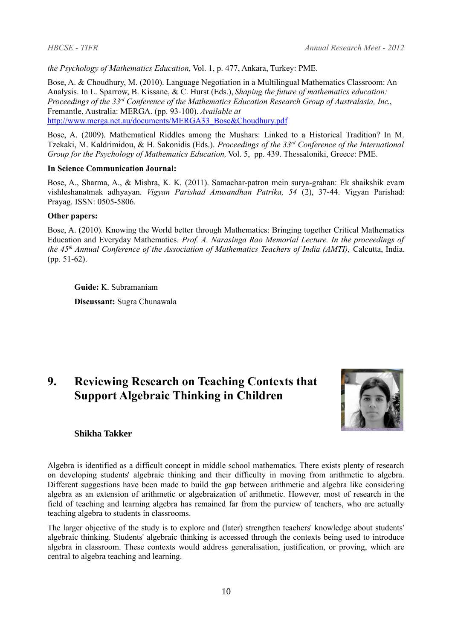*the Psychology of Mathematics Education,* Vol. 1, p. 477, Ankara, Turkey: PME.

Bose, A. & Choudhury, M. (2010). Language Negotiation in a Multilingual Mathematics Classroom: An Analysis. In L. Sparrow, B. Kissane, & C. Hurst (Eds.), *Shaping the future of mathematics education: Proceedings of the 33rd Conference of the Mathematics Education Research Group of Australasia, Inc*., Fremantle, Australia: MERGA. (pp. 93-100). *Available at* [http://www.merga.net.au/documents/MERGA33\\_Bose&Choudhury.pdf](http://www.merga.net.au/documents/MERGA33_Bose&Choudhury.pdf)

Bose, A. (2009). Mathematical Riddles among the Mushars: Linked to a Historical Tradition? In M. Tzekaki, M. Kaldrimidou, & H. Sakonidis (Eds.). *Proceedings of the 33rd Conference of the International Group for the Psychology of Mathematics Education,* Vol. 5, pp. 439. Thessaloniki, Greece: PME.

#### **In Science Communication Journal:**

Bose, A., Sharma, A., & Mishra, K. K. (2011). Samachar-patron mein surya-grahan: Ek shaikshik evam vishleshanatmak adhyayan. *Vigyan Parishad Anusandhan Patrika, 54* (2), 37-44. Vigyan Parishad: Prayag. ISSN: 0505-5806.

#### **Other papers:**

Bose, A. (2010). Knowing the World better through Mathematics: Bringing together Critical Mathematics Education and Everyday Mathematics. *Prof. A. Narasinga Rao Memorial Lecture. In the proceedings of the 45th Annual Conference of the Association of Mathematics Teachers of India (AMTI),* Calcutta, India. (pp. 51-62).

**Guide:** K. Subramaniam **Discussant:** Sugra Chunawala

# **9. Reviewing Research on Teaching Contexts that Support Algebraic Thinking in Children**



#### **Shikha Takker**

Algebra is identified as a difficult concept in middle school mathematics. There exists plenty of research on developing students' algebraic thinking and their difficulty in moving from arithmetic to algebra. Different suggestions have been made to build the gap between arithmetic and algebra like considering algebra as an extension of arithmetic or algebraization of arithmetic. However, most of research in the field of teaching and learning algebra has remained far from the purview of teachers, who are actually teaching algebra to students in classrooms.

The larger objective of the study is to explore and (later) strengthen teachers' knowledge about students' algebraic thinking. Students' algebraic thinking is accessed through the contexts being used to introduce algebra in classroom. These contexts would address generalisation, justification, or proving, which are central to algebra teaching and learning.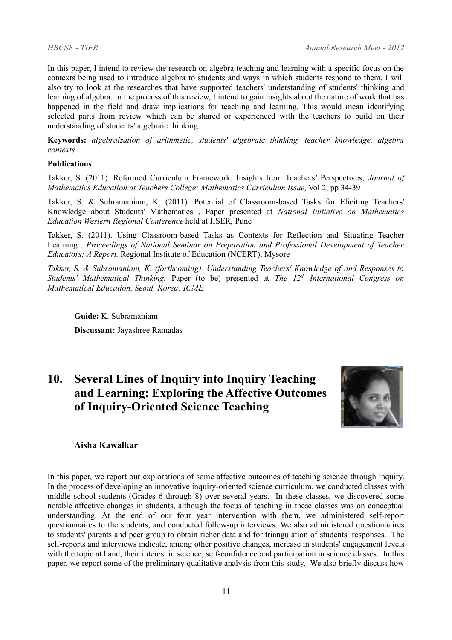In this paper, I intend to review the research on algebra teaching and learning with a specific focus on the contexts being used to introduce algebra to students and ways in which students respond to them. I will also try to look at the researches that have supported teachers' understanding of students' thinking and learning of algebra. In the process of this review, I intend to gain insights about the nature of work that has happened in the field and draw implications for teaching and learning. This would mean identifying selected parts from review which can be shared or experienced with the teachers to build on their understanding of students' algebraic thinking.

**Keywords:** *algebraization of arithmetic, students' algebraic thinking, teacher knowledge, algebra contexts* 

#### **Publications**

Takker, S. (2011). Reformed Curriculum Framework: Insights from Teachers' Perspectives, *Journal of Mathematics Education at Teachers College: Mathematics Curriculum Issue, Vol 2, pp 34-39* 

Takker, S. & Subramaniam, K. (2011). Potential of Classroom-based Tasks for Eliciting Teachers' Knowledge about Students' Mathematics , Paper presented at *National Initiative on Mathematics Education Western Regional Conference* held at IISER, Pune

Takker, S. (2011). Using Classroom-based Tasks as Contexts for Reflection and Situating Teacher Learning . *Proceedings of National Seminar on Preparation and Professional Development of Teacher Educators: A Report.* Regional Institute of Education (NCERT), Mysore

*Takker, S. & Subramaniam, K. (forthcoming). Understanding Teachers' Knowledge of and Responses to Students' Mathematical Thinking.* Paper (to be) presented at *The 12th International Congress on Mathematical Education, Seoul, Korea: ICME* 

**Guide:** K. Subramaniam

**Discussant:** Jayashree Ramadas

# **10. Several Lines of Inquiry into Inquiry Teaching and Learning: Exploring the Affective Outcomes of Inquiry-Oriented Science Teaching**



#### **Aisha Kawalkar**

In this paper, we report our explorations of some affective outcomes of teaching science through inquiry. In the process of developing an innovative inquiry-oriented science curriculum, we conducted classes with middle school students (Grades 6 through 8) over several years. In these classes, we discovered some notable affective changes in students, although the focus of teaching in these classes was on conceptual understanding. At the end of our four year intervention with them, we administered self-report questionnaires to the students, and conducted follow-up interviews. We also administered questionnaires to students' parents and peer group to obtain richer data and for triangulation of students' responses. The self-reports and interviews indicate, among other positive changes, increase in students' engagement levels with the topic at hand, their interest in science, self-confidence and participation in science classes. In this paper, we report some of the preliminary qualitative analysis from this study. We also briefly discuss how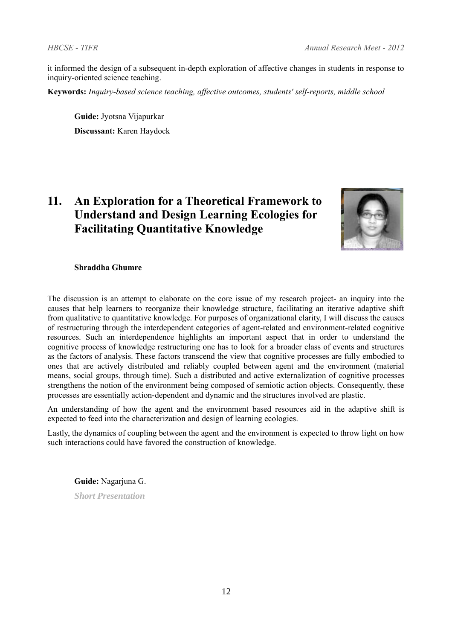it informed the design of a subsequent in-depth exploration of affective changes in students in response to inquiry-oriented science teaching.

**Keywords:** *Inquiry-based science teaching, affective outcomes, students' self-reports, middle school*

**Guide:** Jyotsna Vijapurkar **Discussant:** Karen Haydock

# **11. An Exploration for a Theoretical Framework to Understand and Design Learning Ecologies for Facilitating Quantitative Knowledge**



### **Shraddha Ghumre**

The discussion is an attempt to elaborate on the core issue of my research project- an inquiry into the causes that help learners to reorganize their knowledge structure, facilitating an iterative adaptive shift from qualitative to quantitative knowledge. For purposes of organizational clarity, I will discuss the causes of restructuring through the interdependent categories of agent-related and environment-related cognitive resources. Such an interdependence highlights an important aspect that in order to understand the cognitive process of knowledge restructuring one has to look for a broader class of events and structures as the factors of analysis. These factors transcend the view that cognitive processes are fully embodied to ones that are actively distributed and reliably coupled between agent and the environment (material means, social groups, through time). Such a distributed and active externalization of cognitive processes strengthens the notion of the environment being composed of semiotic action objects. Consequently, these processes are essentially action-dependent and dynamic and the structures involved are plastic.

An understanding of how the agent and the environment based resources aid in the adaptive shift is expected to feed into the characterization and design of learning ecologies.

Lastly, the dynamics of coupling between the agent and the environment is expected to throw light on how such interactions could have favored the construction of knowledge.

**Guide:** Nagarjuna G.

*Short Presentation*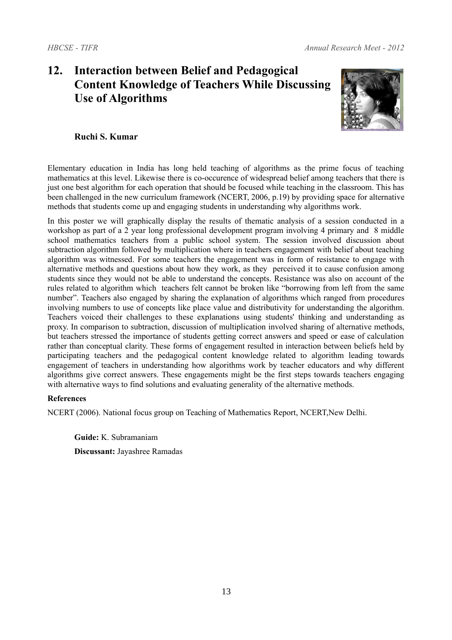# **12. Interaction between Belief and Pedagogical Content Knowledge of Teachers While Discussing Use of Algorithms**



### **Ruchi S. Kumar**

Elementary education in India has long held teaching of algorithms as the prime focus of teaching mathematics at this level. Likewise there is co-occurence of widespread belief among teachers that there is just one best algorithm for each operation that should be focused while teaching in the classroom. This has been challenged in the new curriculum framework (NCERT, 2006, p.19) by providing space for alternative methods that students come up and engaging students in understanding why algorithms work.

In this poster we will graphically display the results of thematic analysis of a session conducted in a workshop as part of a 2 year long professional development program involving 4 primary and 8 middle school mathematics teachers from a public school system. The session involved discussion about subtraction algorithm followed by multiplication where in teachers engagement with belief about teaching algorithm was witnessed. For some teachers the engagement was in form of resistance to engage with alternative methods and questions about how they work, as they perceived it to cause confusion among students since they would not be able to understand the concepts. Resistance was also on account of the rules related to algorithm which teachers felt cannot be broken like "borrowing from left from the same number". Teachers also engaged by sharing the explanation of algorithms which ranged from procedures involving numbers to use of concepts like place value and distributivity for understanding the algorithm. Teachers voiced their challenges to these explanations using students' thinking and understanding as proxy. In comparison to subtraction, discussion of multiplication involved sharing of alternative methods, but teachers stressed the importance of students getting correct answers and speed or ease of calculation rather than conceptual clarity. These forms of engagement resulted in interaction between beliefs held by participating teachers and the pedagogical content knowledge related to algorithm leading towards engagement of teachers in understanding how algorithms work by teacher educators and why different algorithms give correct answers. These engagements might be the first steps towards teachers engaging with alternative ways to find solutions and evaluating generality of the alternative methods.

### **References**

NCERT (2006). National focus group on Teaching of Mathematics Report, NCERT,New Delhi.

**Guide:** K. Subramaniam **Discussant:** Jayashree Ramadas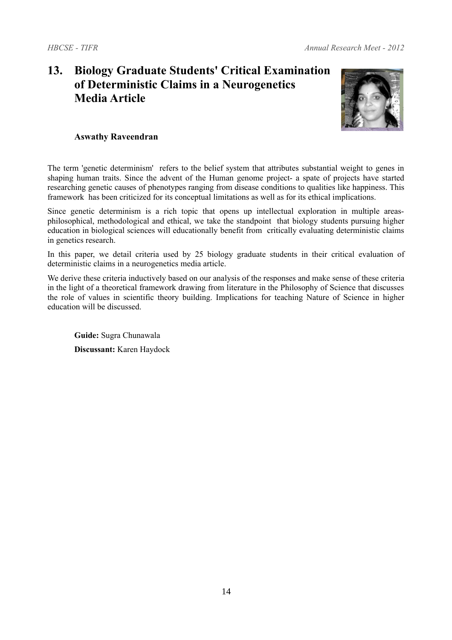# **13. Biology Graduate Students' Critical Examination of Deterministic Claims in a Neurogenetics Media Article**



### **Aswathy Raveendran**

The term 'genetic determinism' refers to the belief system that attributes substantial weight to genes in shaping human traits. Since the advent of the Human genome project- a spate of projects have started researching genetic causes of phenotypes ranging from disease conditions to qualities like happiness. This framework has been criticized for its conceptual limitations as well as for its ethical implications.

Since genetic determinism is a rich topic that opens up intellectual exploration in multiple areasphilosophical, methodological and ethical, we take the standpoint that biology students pursuing higher education in biological sciences will educationally benefit from critically evaluating deterministic claims in genetics research.

In this paper, we detail criteria used by 25 biology graduate students in their critical evaluation of deterministic claims in a neurogenetics media article.

We derive these criteria inductively based on our analysis of the responses and make sense of these criteria in the light of a theoretical framework drawing from literature in the Philosophy of Science that discusses the role of values in scientific theory building. Implications for teaching Nature of Science in higher education will be discussed.

**Guide:** Sugra Chunawala **Discussant:** Karen Haydock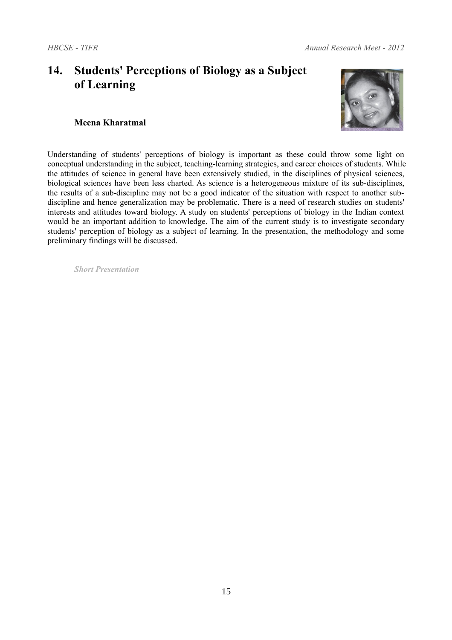# **14. Students' Perceptions of Biology as a Subject of Learning**



### **Meena Kharatmal**

Understanding of students' perceptions of biology is important as these could throw some light on conceptual understanding in the subject, teaching-learning strategies, and career choices of students. While the attitudes of science in general have been extensively studied, in the disciplines of physical sciences, biological sciences have been less charted. As science is a heterogeneous mixture of its sub-disciplines, the results of a sub-discipline may not be a good indicator of the situation with respect to another subdiscipline and hence generalization may be problematic. There is a need of research studies on students' interests and attitudes toward biology. A study on students' perceptions of biology in the Indian context would be an important addition to knowledge. The aim of the current study is to investigate secondary students' perception of biology as a subject of learning. In the presentation, the methodology and some preliminary findings will be discussed.

*Short Presentation*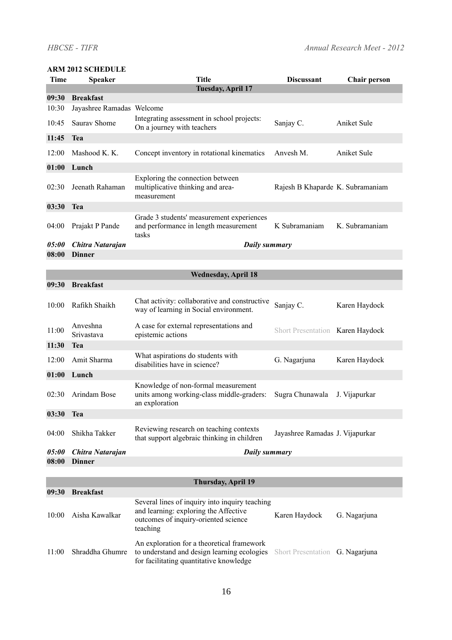#### **ARM 2012 SCHEDULE**

| <b>Time</b> | <b>Speaker</b>            | <b>Title</b>                                                                                                                         | <b>Discussant</b>                | <b>Chair person</b> |  |  |
|-------------|---------------------------|--------------------------------------------------------------------------------------------------------------------------------------|----------------------------------|---------------------|--|--|
| 09:30       | <b>Breakfast</b>          | <b>Tuesday, April 17</b>                                                                                                             |                                  |                     |  |  |
| 10:30       | Jayashree Ramadas Welcome |                                                                                                                                      |                                  |                     |  |  |
| 10:45       | Saurav Shome              | Integrating assessment in school projects:<br>On a journey with teachers                                                             | Sanjay C.                        | Aniket Sule         |  |  |
| 11:45       | <b>Tea</b>                |                                                                                                                                      |                                  |                     |  |  |
|             |                           |                                                                                                                                      |                                  |                     |  |  |
| 12:00       | Mashood K. K.             | Concept inventory in rotational kinematics                                                                                           | Anvesh M.                        | Aniket Sule         |  |  |
| 01:00       | Lunch                     |                                                                                                                                      |                                  |                     |  |  |
| 02:30       | Jeenath Rahaman           | Exploring the connection between<br>multiplicative thinking and area-<br>measurement                                                 | Rajesh B Khaparde K. Subramaniam |                     |  |  |
| 03:30       | <b>Tea</b>                |                                                                                                                                      |                                  |                     |  |  |
| 04:00       | Prajakt P Pande           | Grade 3 students' measurement experiences<br>and performance in length measurement<br>tasks                                          | K Subramaniam                    | K. Subramaniam      |  |  |
| 05:00       | Chitra Natarajan          | <b>Daily summary</b>                                                                                                                 |                                  |                     |  |  |
| 08:00       | <b>Dinner</b>             |                                                                                                                                      |                                  |                     |  |  |
|             |                           |                                                                                                                                      |                                  |                     |  |  |
|             |                           | <b>Wednesday, April 18</b>                                                                                                           |                                  |                     |  |  |
| 09:30       | <b>Breakfast</b>          |                                                                                                                                      |                                  |                     |  |  |
| 10:00       | Rafikh Shaikh             | Chat activity: collaborative and constructive<br>way of learning in Social environment.                                              | Sanjay C.                        | Karen Haydock       |  |  |
| 11:00       | Anveshna<br>Srivastava    | A case for external representations and<br>epistemic actions                                                                         | Short Presentation Karen Haydock |                     |  |  |
| 11:30       | Tea                       |                                                                                                                                      |                                  |                     |  |  |
| 12:00       | Amit Sharma               | What aspirations do students with<br>disabilities have in science?                                                                   | G. Nagarjuna                     | Karen Haydock       |  |  |
| 01:00       | Lunch                     |                                                                                                                                      |                                  |                     |  |  |
| 02:30       | Arindam Bose              | Knowledge of non-formal measurement<br>units among working-class middle-graders:<br>an exploration                                   | Sugra Chunawala                  | J. Vijapurkar       |  |  |
| 03:30       | Tea                       |                                                                                                                                      |                                  |                     |  |  |
| 04:00       | Shikha Takker             | Reviewing research on teaching contexts<br>that support algebraic thinking in children                                               | Jayashree Ramadas J. Vijapurkar  |                     |  |  |
| 05:00       | Chitra Natarajan          | Daily summary                                                                                                                        |                                  |                     |  |  |
| 08:00       | <b>Dinner</b>             |                                                                                                                                      |                                  |                     |  |  |
|             |                           |                                                                                                                                      |                                  |                     |  |  |
|             |                           | <b>Thursday, April 19</b>                                                                                                            |                                  |                     |  |  |
| 09:30       | <b>Breakfast</b>          | Several lines of inquiry into inquiry teaching                                                                                       |                                  |                     |  |  |
| 10:00       | Aisha Kawalkar            | and learning: exploring the Affective<br>outcomes of inquiry-oriented science<br>teaching                                            | Karen Haydock                    | G. Nagarjuna        |  |  |
| 11:00       | Shraddha Ghumre           | An exploration for a theoretical framework<br>to understand and design learning ecologies<br>for facilitating quantitative knowledge | Short Presentation G. Nagarjuna  |                     |  |  |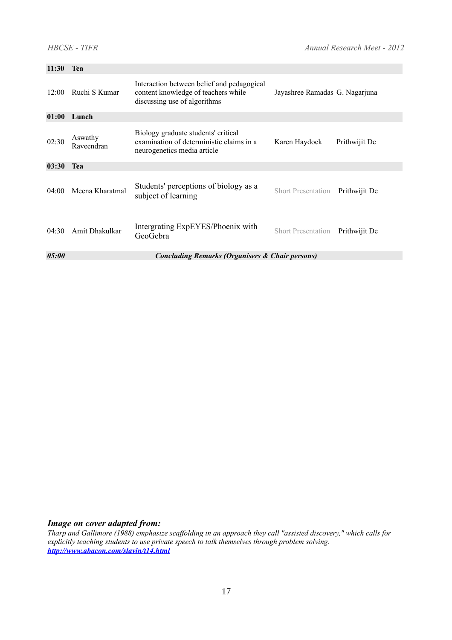| 11:30                                                               | <b>Tea</b>            |                                                                                                                   |                                |               |  |  |
|---------------------------------------------------------------------|-----------------------|-------------------------------------------------------------------------------------------------------------------|--------------------------------|---------------|--|--|
| 12:00                                                               | Ruchi S Kumar         | Interaction between belief and pedagogical<br>content knowledge of teachers while<br>discussing use of algorithms | Jayashree Ramadas G. Nagarjuna |               |  |  |
| 01:00                                                               | Lunch                 |                                                                                                                   |                                |               |  |  |
| 02:30                                                               | Aswathy<br>Raveendran | Biology graduate students' critical<br>examination of deterministic claims in a<br>neurogenetics media article    | Karen Haydock                  | Prithwijit De |  |  |
| 03:30                                                               | Tea                   |                                                                                                                   |                                |               |  |  |
| 04:00                                                               | Meena Kharatmal       | Students' perceptions of biology as a<br>subject of learning                                                      | <b>Short Presentation</b>      | Prithwijit De |  |  |
| 04:30                                                               | Amit Dhakulkar        | Intergrating ExpEYES/Phoenix with<br>GeoGebra                                                                     | <b>Short Presentation</b>      | Prithwijit De |  |  |
| 05:00<br><b>Concluding Remarks (Organisers &amp; Chair persons)</b> |                       |                                                                                                                   |                                |               |  |  |

### *Image on cover adapted from:*

*Tharp and Gallimore (1988) emphasize scaffolding in an approach they call "assisted discovery," which calls for explicitly teaching students to use private speech to talk themselves through problem solving. <http://www.abacon.com/slavin/t14.html>*